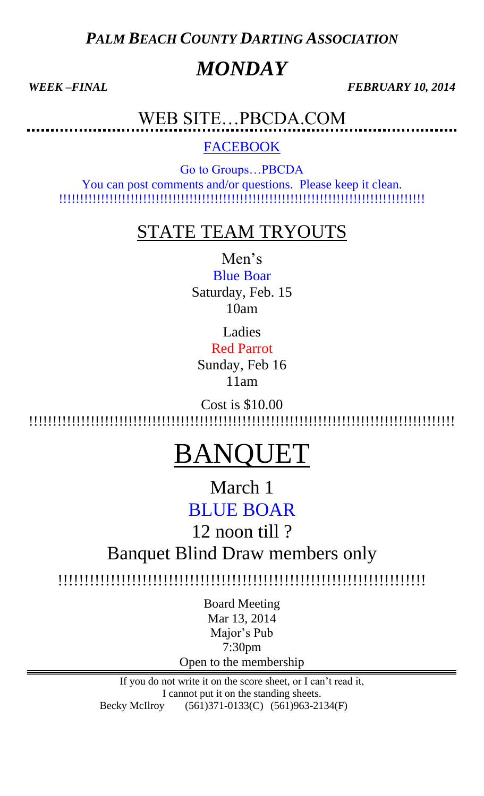*PALM BEACH COUNTY DARTING ASSOCIATION*

# *MONDAY*

*WEEK –FINAL FEBRUARY 10, 2014* 

WEB SITE…PBCDA.COM

**FACEBOOK** 

Go to Groups…PBCDA You can post comments and/or questions. Please keep it clean. !!!!!!!!!!!!!!!!!!!!!!!!!!!!!!!!!!!!!!!!!!!!!!!!!!!!!!!!!!!!!!!!!!!!!!!!!!!!!!!!!!!!!!!

# STATE TEAM TRYOUTS

Men's Blue Boar

Saturday, Feb. 15 10am

Ladies

Red Parrot Sunday, Feb 16 11am

Cost is \$10.00 !!!!!!!!!!!!!!!!!!!!!!!!!!!!!!!!!!!!!!!!!!!!!!!!!!!!!!!!!!!!!!!!!!!!!!!!!!!!!!!!!!!!!!!!!!

# BANQUET

March 1 BLUE BOAR

12 noon till ?

Banquet Blind Draw members only

!!!!!!!!!!!!!!!!!!!!!!!!!!!!!!!!!!!!!!!!!!!!!!!!!!!!!!!!!!!!!!!!!!!!!!

Board Meeting Mar 13, 2014 Major's Pub 7:30pm Open to the membership

If you do not write it on the score sheet, or I can't read it, I cannot put it on the standing sheets. Becky McIlroy (561)371-0133(C) (561)963-2134(F)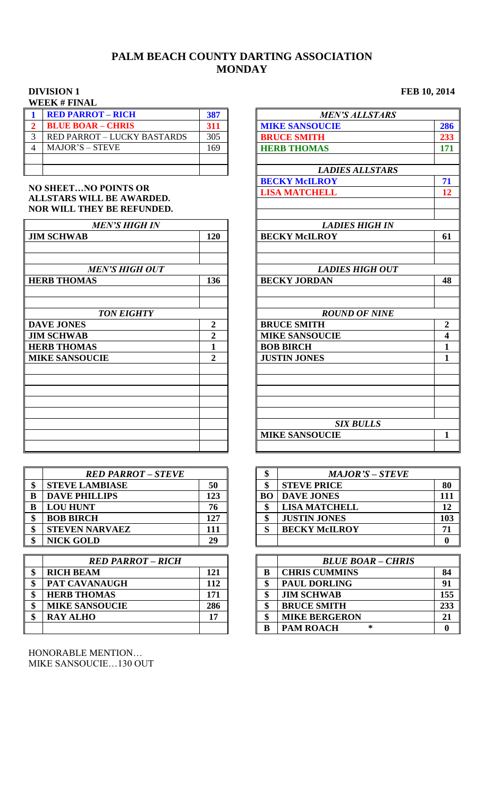### **PALM BEACH COUNTY DARTING ASSOCIATION MONDAY**

### **DIVISION 1 FEB 10, 2014 WEEK # FINAL**

| **************                     |     |                        |
|------------------------------------|-----|------------------------|
| <b>RED PARROT - RICH</b>           | 387 | <b>MEN'S ALLSTARS</b>  |
| <b>BLUE BOAR - CHRIS</b>           | 311 | <b>MIKE SANSOUCIE</b>  |
| <b>RED PARROT - LUCKY BASTARDS</b> | 305 | <b>BRUCE SMITH</b>     |
| <b>MAJOR'S - STEVE</b>             | 169 | <b>HERB THOMAS</b>     |
|                                    |     |                        |
|                                    |     | <b>LADIES ALLSTARS</b> |
|                                    |     |                        |

### **NO SHEET…NO POINTS OR ALLSTARS WILL BE AWARDED. NOR WILL THEY BE REFUNDED.**

| <b>MEN'S HIGH IN</b>  |                | <b>LADIES HIGH IN</b>  |                |
|-----------------------|----------------|------------------------|----------------|
| <b>JIM SCHWAB</b>     | 120            | <b>BECKY McILROY</b>   | 61             |
| <b>MEN'S HIGH OUT</b> |                | <b>LADIES HIGH OUT</b> |                |
| <b>HERB THOMAS</b>    | 136            | <b>BECKY JORDAN</b>    | 48             |
| <b>TON EIGHTY</b>     |                | <b>ROUND OF NINE</b>   |                |
| <b>DAVE JONES</b>     | 2              | <b>BRUCE SMITH</b>     | $\overline{2}$ |
| <b>JIM SCHWAB</b>     | $\overline{2}$ | <b>MIKE SANSOUCIE</b>  | 4              |
| <b>HERB THOMAS</b>    |                | <b>BOB BIRCH</b>       | 1              |
| <b>MIKE SANSOUCIE</b> | $\mathbf{2}$   | <b>JUSTIN JONES</b>    | $\mathbf{1}$   |
|                       |                |                        |                |
|                       |                |                        |                |
|                       |                | <b>SIX BULLS</b>       |                |
|                       |                | <b>MIKE SANSOUCIE</b>  | $\mathbf{1}$   |

| <b>RED PARROT – STEVE</b> |     | œ<br>Φ    | <b>MAJOR'S – STEVE</b> |    |
|---------------------------|-----|-----------|------------------------|----|
| <b>STEVE LAMBIASE</b>     | 50  | ¢         | <b>STEVE PRICE</b>     | 80 |
| <b>DAVE PHILLIPS</b>      | 123 | <b>BO</b> | <b>DAVE JONES</b>      | 11 |
| <b>LOU HUNT</b>           | 76  |           | <b>LISA MATCHELL</b>   | 11 |
| <b>BOB BIRCH</b>          | 127 | ¢         | <b>JUSTIN JONES</b>    | 10 |
| <b>STEVEN NARVAEZ</b>     | 111 | Q         | <b>BECKY McILROY</b>   | 71 |
| <b>NICK GOLD</b>          | 29  |           |                        |    |

| <b>RED PARROT - RICH</b> |     |   | <b>BLUE BOAR - CHRIS</b> |              |
|--------------------------|-----|---|--------------------------|--------------|
| <b>RICH BEAM</b>         | 121 | B | <b>CHRIS CUMMINS</b>     | 84           |
| PAT CAVANAUGH            | 112 |   | <b>PAUL DORLING</b>      | 91           |
| <b>HERB THOMAS</b>       | 171 | ው | <b>JIM SCHWAB</b>        | 15.          |
| <b>MIKE SANSOUCIE</b>    | 286 | ው | <b>BRUCE SMITH</b>       | 23.3         |
| <b>RAY ALHO</b>          |     | Ⴛ | <b>MIKE BERGERON</b>     | 21           |
|                          |     | B | <b>PAM ROACH</b><br>∗    | $\mathbf{0}$ |

HONORABLE MENTION… MIKE SANSOUCIE…130 OUT

| $\mathbf{1}$   | <b>RED PARROT - RICH</b>           | 387            | <b>MEN'S ALLSTARS</b>  |                         |
|----------------|------------------------------------|----------------|------------------------|-------------------------|
|                | <b>BLUE BOAR - CHRIS</b>           | 311            | <b>MIKE SANSOUCIE</b>  | 286                     |
| $\frac{2}{3}$  | <b>RED PARROT - LUCKY BASTARDS</b> | 305            | <b>BRUCE SMITH</b>     | 233                     |
| $\overline{4}$ | <b>MAJOR'S - STEVE</b>             | 169            | <b>HERB THOMAS</b>     | 171                     |
|                |                                    |                |                        |                         |
|                |                                    |                | <b>LADIES ALLSTARS</b> |                         |
|                |                                    |                | <b>BECKY McILROY</b>   | 71                      |
|                | <b>NO SHEETNO POINTS OR</b>        |                | <b>LISA MATCHELL</b>   | 12                      |
|                | <b>ALLSTARS WILL BE AWARDED.</b>   |                |                        |                         |
|                | <b>NOR WILL THEY BE REFUNDED.</b>  |                |                        |                         |
|                | <b>MEN'S HIGH IN</b>               |                | <b>LADIES HIGH IN</b>  |                         |
|                | <b>IM SCHWAB</b>                   | 120            | <b>BECKY McILROY</b>   | 61                      |
|                |                                    |                |                        |                         |
|                |                                    |                |                        |                         |
|                | <b>MEN'S HIGH OUT</b>              |                | <b>LADIES HIGH OUT</b> |                         |
|                | <b>HERB THOMAS</b>                 | 136            | <b>BECKY JORDAN</b>    | 48                      |
|                |                                    |                |                        |                         |
|                |                                    |                |                        |                         |
|                | <b>TON EIGHTY</b>                  |                | <b>ROUND OF NINE</b>   |                         |
|                | <b>DAVE JONES</b>                  | $\overline{2}$ | <b>BRUCE SMITH</b>     | $\overline{2}$          |
|                | <b>IM SCHWAB</b>                   | $\overline{2}$ | <b>MIKE SANSOUCIE</b>  | $\overline{\mathbf{4}}$ |
|                | <b>HERB THOMAS</b>                 | $\mathbf{1}$   | <b>BOB BIRCH</b>       | $\mathbf{1}$            |
|                | <b>MIKE SANSOUCIE</b>              | $\overline{2}$ | <b>JUSTIN JONES</b>    | $\mathbf{1}$            |
|                |                                    |                |                        |                         |
|                |                                    |                |                        |                         |
|                |                                    |                |                        |                         |
|                |                                    |                |                        |                         |
|                |                                    |                |                        |                         |
|                |                                    |                | <b>SIX BULLS</b>       |                         |
|                |                                    |                | <b>MIKE SANSOUCIE</b>  | 1                       |
|                |                                    |                |                        |                         |
|                |                                    |                |                        |                         |

|    | <b>RED PARROT - STEVE</b> |     | ጡ  | <b>MAJOR'S – STEVE</b> |     |
|----|---------------------------|-----|----|------------------------|-----|
| \$ | <b>STEVE LAMBIASE</b>     | 50  |    | <b>STEVE PRICE</b>     | 80  |
| B  | <b>DAVE PHILLIPS</b>      | 123 | BО | <b>DAVE JONES</b>      |     |
| B  | <b>LOU HUNT</b>           | 76  |    | <b>LISA MATCHELL</b>   | 12  |
| \$ | <b>BOB BIRCH</b>          | 127 |    | <b>JUSTIN JONES</b>    | 103 |
| \$ | <b>STEVEN NARVAEZ</b>     | 11  |    | <b>BECKY McILROY</b>   |     |
| \$ | <b>NICK GOLD</b>          | 29  |    |                        |     |

| <b>RED PARROT - RICH</b>    |     |   | <b>BLUE BOAR - CHRIS</b> |     |
|-----------------------------|-----|---|--------------------------|-----|
| \$<br><b>RICH BEAM</b>      | 121 |   | <b>CHRIS CUMMINS</b>     | 84  |
| \$<br>PAT CAVANAUGH         | 112 |   | <b>PAUL DORLING</b>      | 91  |
| \$<br><b>HERB THOMAS</b>    | 171 |   | <b>JIM SCHWAB</b>        | 155 |
| \$<br><b>MIKE SANSOUCIE</b> | 286 |   | <b>BRUCE SMITH</b>       | 233 |
| \$<br><b>RAY ALHO</b>       | דו  |   | <b>MIKE BERGERON</b>     | 21  |
|                             |     | B | <b>PAM ROACH</b><br>∗    |     |